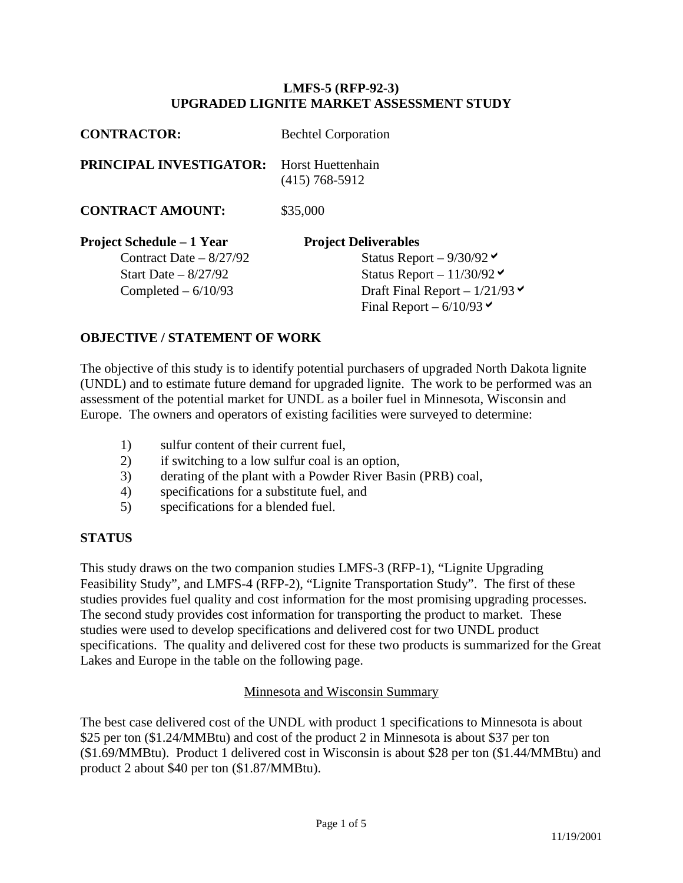### **LMFS-5 (RFP-92-3) UPGRADED LIGNITE MARKET ASSESSMENT STUDY**

| <b>CONTRACTOR:</b>               | <b>Bechtel Corporation</b>                                 |  |  |
|----------------------------------|------------------------------------------------------------|--|--|
| <b>PRINCIPAL INVESTIGATOR:</b>   | Horst Huettenhain<br>$(415) 768 - 5912$                    |  |  |
| <b>CONTRACT AMOUNT:</b>          | \$35,000                                                   |  |  |
| <b>Project Schedule – 1 Year</b> | <b>Project Deliverables</b>                                |  |  |
| Contract Date $-8/27/92$         | Status Report $-9/30/92$                                   |  |  |
| Start Date $-8/27/92$            | Status Report $-11/30/92$                                  |  |  |
| Completed $-6/10/93$             | Draft Final Report – $1/21/93$<br>Final Report – $6/10/93$ |  |  |

# **OBJECTIVE / STATEMENT OF WORK**

The objective of this study is to identify potential purchasers of upgraded North Dakota lignite (UNDL) and to estimate future demand for upgraded lignite. The work to be performed was an assessment of the potential market for UNDL as a boiler fuel in Minnesota, Wisconsin and Europe. The owners and operators of existing facilities were surveyed to determine:

- 1) sulfur content of their current fuel,
- 2) if switching to a low sulfur coal is an option,
- 3) derating of the plant with a Powder River Basin (PRB) coal,
- 4) specifications for a substitute fuel, and
- 5) specifications for a blended fuel.

#### **STATUS**

This study draws on the two companion studies LMFS-3 (RFP-1), "Lignite Upgrading Feasibility Study", and LMFS-4 (RFP-2), "Lignite Transportation Study". The first of these studies provides fuel quality and cost information for the most promising upgrading processes. The second study provides cost information for transporting the product to market. These studies were used to develop specifications and delivered cost for two UNDL product specifications. The quality and delivered cost for these two products is summarized for the Great Lakes and Europe in the table on the following page.

#### Minnesota and Wisconsin Summary

The best case delivered cost of the UNDL with product 1 specifications to Minnesota is about \$25 per ton (\$1.24/MMBtu) and cost of the product 2 in Minnesota is about \$37 per ton (\$1.69/MMBtu). Product 1 delivered cost in Wisconsin is about \$28 per ton (\$1.44/MMBtu) and product 2 about \$40 per ton (\$1.87/MMBtu).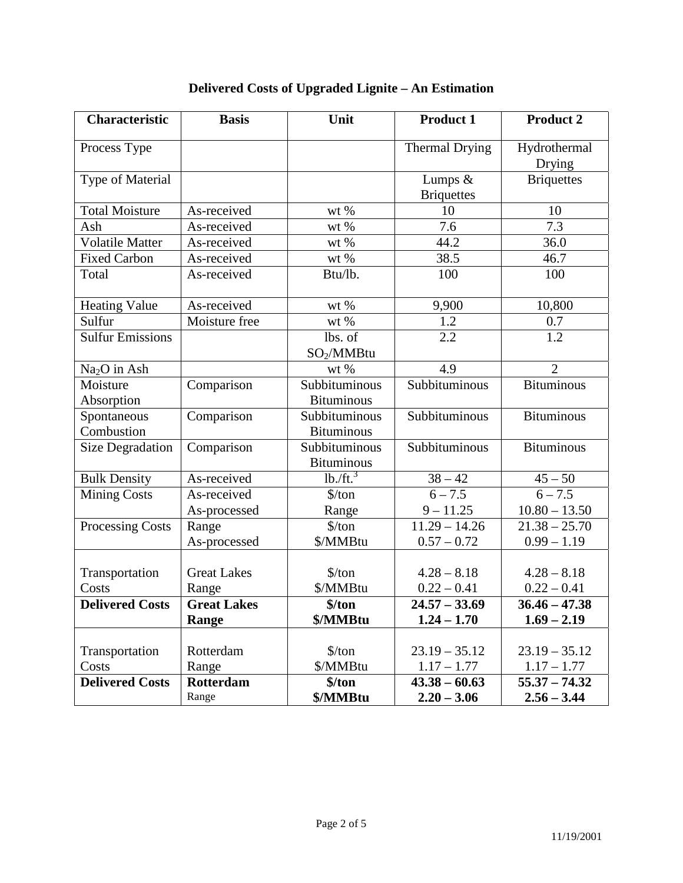| <b>Characteristic</b>    | <b>Basis</b>       | Unit                   | <b>Product 1</b>      | <b>Product 2</b>       |
|--------------------------|--------------------|------------------------|-----------------------|------------------------|
| Process Type             |                    |                        | <b>Thermal Drying</b> | Hydrothermal<br>Drying |
| Type of Material         |                    |                        | Lumps &               | <b>Briquettes</b>      |
|                          |                    |                        | <b>Briquettes</b>     |                        |
| <b>Total Moisture</b>    | As-received        | wt $%$                 | 10                    | 10                     |
| Ash                      | As-received        | wt %                   | 7.6                   | 7.3                    |
| <b>Volatile Matter</b>   | As-received        | wt $%$                 | 44.2                  | 36.0                   |
| <b>Fixed Carbon</b>      | As-received        | wt %                   | 38.5                  | 46.7                   |
| Total                    | As-received        | Btu/lb.                | 100                   | 100                    |
| <b>Heating Value</b>     | As-received        | $wt$ %                 | 9,900                 | 10,800                 |
| Sulfur                   | Moisture free      | wt $\%$                | 1.2                   | 0.7                    |
| <b>Sulfur Emissions</b>  |                    | lbs. of                | 2.2                   | 1.2                    |
|                          |                    | $SO_2/MM$ Btu          |                       |                        |
| Na <sub>2</sub> O in Ash |                    | wt %                   | 4.9                   | $\overline{2}$         |
| Moisture                 | Comparison         | Subbituminous          | Subbituminous         | <b>Bituminous</b>      |
| Absorption               |                    | <b>Bituminous</b>      |                       |                        |
| Spontaneous              | Comparison         | Subbituminous          | Subbituminous         | <b>Bituminous</b>      |
| Combustion               |                    | <b>Bituminous</b>      |                       |                        |
| <b>Size Degradation</b>  | Comparison         | Subbituminous          | Subbituminous         | <b>Bituminous</b>      |
|                          |                    | <b>Bituminous</b>      |                       |                        |
| <b>Bulk Density</b>      | As-received        | lb. / ft. <sup>3</sup> | $38 - 42$             | $45 - 50$              |
| <b>Mining Costs</b>      | As-received        | $\frac{\sqrt{2}}{2}$   | $6 - 7.5$             | $6 - 7.5$              |
|                          | As-processed       | Range                  | $9 - 11.25$           | $10.80 - 13.50$        |
| Processing Costs         | Range              | $\frac{\sqrt{2}}{2}$   | $11.29 - 14.26$       | $21.38 - 25.70$        |
|                          | As-processed       | \$/MMBtu               | $0.57 - 0.72$         | $0.99 - 1.19$          |
|                          |                    |                        |                       |                        |
| Transportation           | <b>Great Lakes</b> | \$/ton                 | $4.28 - 8.18$         | $4.28 - 8.18$          |
| Costs                    | Range              | \$/MMBtu               | $0.22 - 0.41$         | $0.22 - 0.41$          |
| <b>Delivered Costs</b>   | <b>Great Lakes</b> | \$/ton                 | $24.57 - 33.69$       | $36.46 - 47.38$        |
|                          | Range              | \$/MMBtu               | $1.24 - 1.70$         | $1.69 - 2.19$          |
|                          |                    |                        |                       |                        |
| Transportation           | Rotterdam          | $\frac{\sqrt{2}}{2}$   | $23.19 - 35.12$       | $23.19 - 35.12$        |
| Costs                    | Range              | \$/MMBtu               | $1.17 - 1.77$         | $1.17 - 1.77$          |
| <b>Delivered Costs</b>   | <b>Rotterdam</b>   | \$/ton                 | $43.38 - 60.63$       | $55.37 - 74.32$        |
|                          | Range              | \$/MMBtu               | $2.20 - 3.06$         | $2.56 - 3.44$          |

# **Delivered Costs of Upgraded Lignite – An Estimation**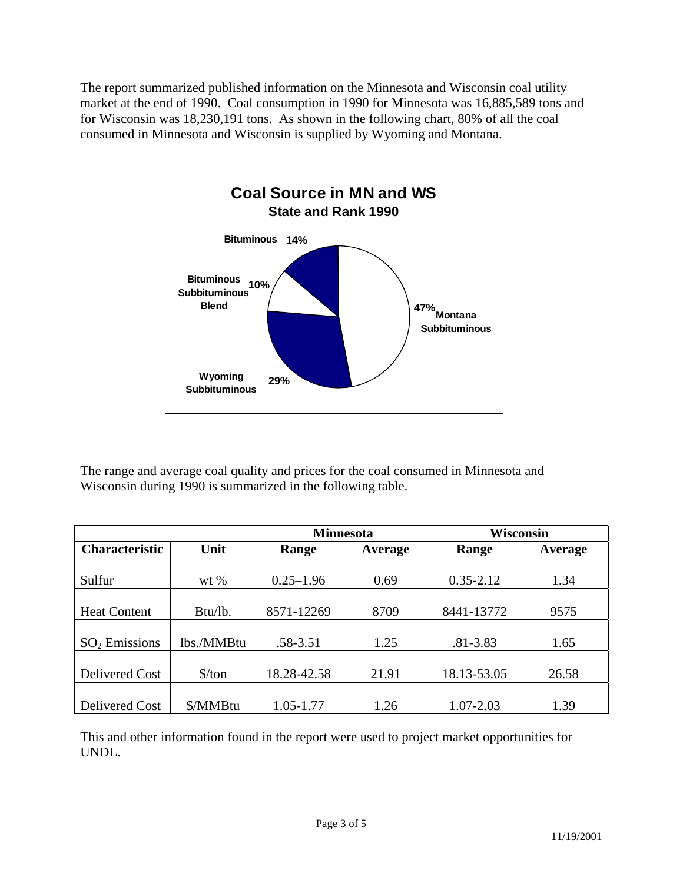The report summarized published information on the Minnesota and Wisconsin coal utility market at the end of 1990. Coal consumption in 1990 for Minnesota was 16,885,589 tons and for Wisconsin was 18,230,191 tons. As shown in the following chart, 80% of all the coal consumed in Minnesota and Wisconsin is supplied by Wyoming and Montana.



The range and average coal quality and prices for the coal consumed in Minnesota and Wisconsin during 1990 is summarized in the following table.

|                       |                      | <b>Minnesota</b> |         | <b>Wisconsin</b> |         |
|-----------------------|----------------------|------------------|---------|------------------|---------|
| <b>Characteristic</b> | Unit                 | Range            | Average | Range            | Average |
|                       |                      |                  |         |                  |         |
| Sulfur                | wt %                 | $0.25 - 1.96$    | 0.69    | $0.35 - 2.12$    | 1.34    |
|                       |                      |                  |         |                  |         |
| <b>Heat Content</b>   | Btu/lb.              | 8571-12269       | 8709    | 8441-13772       | 9575    |
|                       |                      |                  |         |                  |         |
| $SO2$ Emissions       | lbs./MMBtu           | .58-3.51         | 1.25    | $.81 - 3.83$     | 1.65    |
|                       |                      |                  |         |                  |         |
| Delivered Cost        | $\frac{\sqrt{2}}{2}$ | 18.28-42.58      | 21.91   | 18.13-53.05      | 26.58   |
|                       |                      |                  |         |                  |         |
| Delivered Cost        | \$/MMBtu             | 1.05-1.77        | 1.26    | 1.07-2.03        | 1.39    |

This and other information found in the report were used to project market opportunities for UNDL.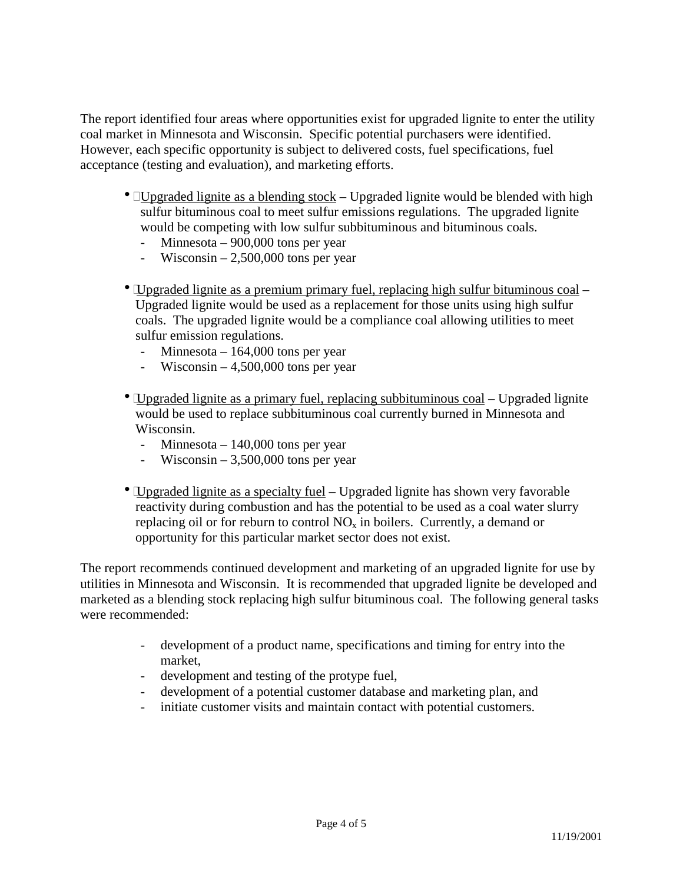The report identified four areas where opportunities exist for upgraded lignite to enter the utility coal market in Minnesota and Wisconsin. Specific potential purchasers were identified. However, each specific opportunity is subject to delivered costs, fuel specifications, fuel acceptance (testing and evaluation), and marketing efforts.

- $\Box$ Upgraded lignite as a blending stock Upgraded lignite would be blended with high sulfur bituminous coal to meet sulfur emissions regulations. The upgraded lignite would be competing with low sulfur subbituminous and bituminous coals.
	- Minnesota 900,000 tons per year
	- $Wiscosin 2,500,000$  tons per year
- Upgraded lignite as a premium primary fuel, replacing high sulfur bituminous coal Upgraded lignite would be used as a replacement for those units using high sulfur coals. The upgraded lignite would be a compliance coal allowing utilities to meet sulfur emission regulations.
	- Minnesota 164,000 tons per year
	- Wisconsin  $4,500,000$  tons per year
- $\bullet$  Upgraded lignite as a primary fuel, replacing subbituminous coal Upgraded lignite would be used to replace subbituminous coal currently burned in Minnesota and Wisconsin.
	- Minnesota 140,000 tons per year
	- Wisconsin  $3,500,000$  tons per year
- Upgraded lignite as a specialty fuel Upgraded lignite has shown very favorable reactivity during combustion and has the potential to be used as a coal water slurry replacing oil or for reburn to control  $NO<sub>x</sub>$  in boilers. Currently, a demand or opportunity for this particular market sector does not exist.

The report recommends continued development and marketing of an upgraded lignite for use by utilities in Minnesota and Wisconsin. It is recommended that upgraded lignite be developed and marketed as a blending stock replacing high sulfur bituminous coal. The following general tasks were recommended:

- development of a product name, specifications and timing for entry into the market,
- development and testing of the protype fuel,
- development of a potential customer database and marketing plan, and
- initiate customer visits and maintain contact with potential customers.